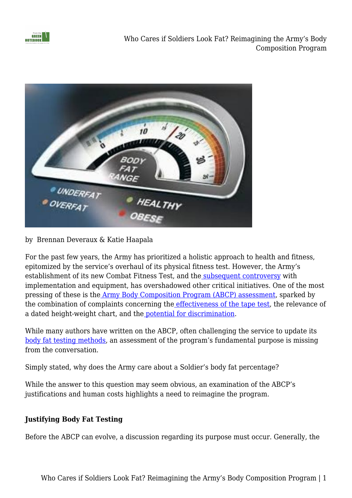



## by Brennan Deveraux & Katie Haapala

For the past few years, the Army has prioritized a holistic approach to health and fitness, epitomized by the service's overhaul of its physical fitness test. However, the Army's establishment of its new Combat Fitness Test, and the [subsequent controversy](https://www.military.com/daily-news/2022/02/20/armys-controversial-fitness-test-might-become-official-year-leaked-army-plan-says.html) with implementation and equipment, has overshadowed other critical initiatives. One of the most pressing of these is the [Army Body Composition Program \(ABCP\) assessment](https://www.military.com/daily-news/2022/02/11/army-zeroing-new-ways-measure-body-fat-could-kill-tape-test.html), sparked by the combination of complaints concerning the [effectiveness of the tape test](https://www.militarytimes.com/2013/05/21/experts-tape-test-has-huge-margin-of-error/#:~:text=The%20tape%20test%20was%20wrong,still%20nearly%2012%20percent%20off.), the relevance of a dated height-weight chart, and th[e](https://fromthegreennotebook.com/2021/06/07/revisiting-the-tape-test/) [potential for discrimination.](https://fromthegreennotebook.com/2021/06/07/revisiting-the-tape-test/)

While many authors have written on the ABCP, often challenging the service to update its [body fat testing methods,](https://www.armytimes.com/opinion/2016/01/03/army-major-writes-ultimate-take-down-of-senseless-tape-test/) an assessment of the program's fundamental purpose is missing from the conversation.

Simply stated, why does the Army care about a Soldier's body fat percentage?

While the answer to this question may seem obvious, an examination of the ABCP's justifications and human costs highlights a need to reimagine the program.

## **Justifying Body Fat Testing**

Before the ABCP can evolve, a discussion regarding its purpose must occur. Generally, the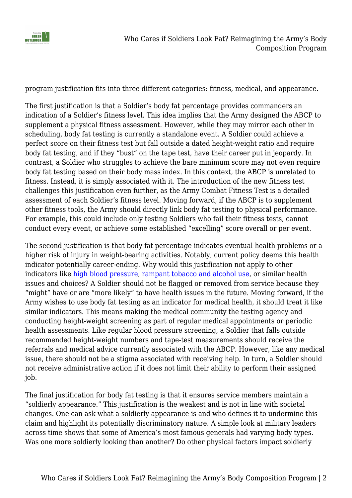

program justification fits into three different categories: fitness, medical, and appearance.

The first justification is that a Soldier's body fat percentage provides commanders an indication of a Soldier's fitness level. This idea implies that the Army designed the ABCP to supplement a physical fitness assessment. However, while they may mirror each other in scheduling, body fat testing is currently a standalone event. A Soldier could achieve a perfect score on their fitness test but fall outside a dated height-weight ratio and require body fat testing, and if they "bust" on the tape test, have their career put in jeopardy. In contrast, a Soldier who struggles to achieve the bare minimum score may not even require body fat testing based on their body mass index. In this context, the ABCP is unrelated to fitness. Instead, it is simply associated with it. The introduction of the new fitness test challenges this justification even further, as the Army Combat Fitness Test is a detailed assessment of each Soldier's fitness level. Moving forward, if the ABCP is to supplement other fitness tools, the Army should directly link body fat testing to physical performance. For example, this could include only testing Soldiers who fail their fitness tests, cannot conduct every event, or achieve some established "excelling" score overall or per event.

The second justification is that body fat percentage indicates eventual health problems or a higher risk of injury in weight-bearing activities. Notably, current policy deems this health indicator potentially career-ending. Why would this justification not apply to other indicators like [high blood pressure](https://www.mayoclinic.org/diseases-conditions/high-blood-pressure/symptoms-causes/syc-20373410), [rampant tobacco and alcohol use,](https://www.mountelizabeth.com.sg/healthplus/article/how-smoking-and-drinking-affects-the-body) or similar health issues and choices? A Soldier should not be flagged or removed from service because they "might" have or are "more likely" to have health issues in the future. Moving forward, if the Army wishes to use body fat testing as an indicator for medical health, it should treat it like similar indicators. This means making the medical community the testing agency and conducting height-weight screening as part of regular medical appointments or periodic health assessments. Like regular blood pressure screening, a Soldier that falls outside recommended height-weight numbers and tape-test measurements should receive the referrals and medical advice currently associated with the ABCP. However, like any medical issue, there should not be a stigma associated with receiving help. In turn, a Soldier should not receive administrative action if it does not limit their ability to perform their assigned job.

The final justification for body fat testing is that it ensures service members maintain a "soldierly appearance." This justification is the weakest and is not in line with societal changes. One can ask what a soldierly appearance is and who defines it to undermine this claim and highlight its potentially discriminatory nature. A simple look at military leaders across time shows that some of America's most famous generals had varying body types. Was one more soldierly looking than another? Do other physical factors impact soldierly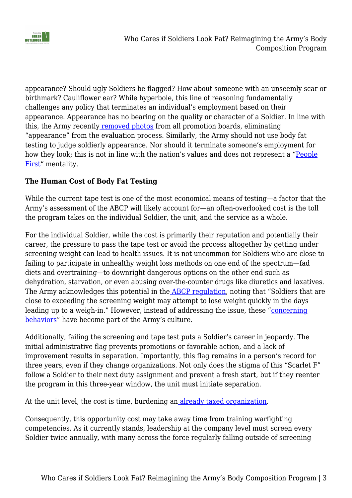

appearance? Should ugly Soldiers be flagged? How about someone with an unseemly scar or birthmark? Cauliflower ear? While hyperbole, this line of reasoning fundamentally challenges any policy that terminates an individual's employment based on their appearance. Appearance has no bearing on the quality or character of a Soldier. In line with this, the Army recentl[y](https://www.military.com/daily-news/2020/06/25/inside-armys-decision-eliminate-photos-officer-promotion-boards.html) [removed photos](https://www.military.com/daily-news/2020/06/25/inside-armys-decision-eliminate-photos-officer-promotion-boards.html) from all promotion boards, eliminating "appearance" from the evaluation process. Similarly, the Army should not use body fat testing to judge soldierly appearance. Nor should it terminate someone's employment for how they look; this is not in line with the nation's values and does not represent a ["People](https://www.army.mil/peoplefirst/) [First](https://www.army.mil/peoplefirst/)" mentality.

### **The Human Cost of Body Fat Testing**

While the current tape test is one of the most economical means of testing—a factor that the Army's assessment of the ABCP will likely account for—an often-overlooked cost is the toll the program takes on the individual Soldier, the unit, and the service as a whole.

For the individual Soldier, while the cost is primarily their reputation and potentially their career, the pressure to pass the tape test or avoid the process altogether by getting under screening weight can lead to health issues. It is not uncommon for Soldiers who are close to failing to participate in unhealthy weight loss methods on one end of the spectrum—fad diets and overtraining—to downright dangerous options on the other end such as dehydration, starvation, or even abusing over-the-counter drugs like diuretics and laxatives. The Army acknowledges this potential in th[e](https://armypubs.army.mil/epubs/DR_pubs/DR_a/pdf/web/ARN7779_AR600-9_FINAL.pdf) [ABCP regulation](https://armypubs.army.mil/epubs/DR_pubs/DR_a/pdf/web/ARN7779_AR600-9_FINAL.pdf), noting that "Soldiers that are close to exceeding the screening weight may attempt to lose weight quickly in the days leading up to a weigh-in." However, instead of addressing the issue, these "[concerning](https://taskandpurpose.com/news/acft-army-height-weight-standards/) [behaviors"](https://taskandpurpose.com/news/acft-army-height-weight-standards/) have become part of the Army's culture.

Additionally, failing the screening and tape test puts a Soldier's career in jeopardy. The initial administrative flag prevents promotions or favorable action, and a lack of improvement results in separation. Importantly, this flag remains in a person's record for three years, even if they change organizations. Not only does the stigma of this "Scarlet F" follow a Soldier to their next duty assignment and prevent a fresh start, but if they reenter the program in this three-year window, the unit must initiate separation.

At the u[n](https://www.rand.org/content/dam/rand/pubs/research_reports/RR2900/RR2979/RAND_RR2979.pdf)it level, the cost is time, burdening an [already taxed organization](https://www.rand.org/content/dam/rand/pubs/research_reports/RR2900/RR2979/RAND_RR2979.pdf).

Consequently, this opportunity cost may take away time from training warfighting competencies. As it currently stands, leadership at the company level must screen every Soldier twice annually, with many across the force regularly falling outside of screening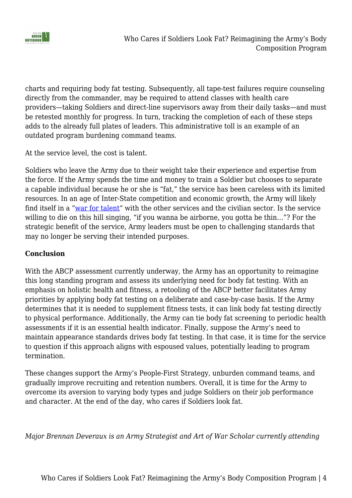

charts and requiring body fat testing. Subsequently, all tape-test failures require counseling directly from the commander, may be required to attend classes with health care providers—taking Soldiers and direct-line supervisors away from their daily tasks—and must be retested monthly for progress. In turn, tracking the completion of each of these steps adds to the already full plates of leaders. This administrative toll is an example of an outdated program burdening command teams.

At the service level, the cost is talent.

Soldiers who leave the Army due to their weight take their experience and expertise from the force. If the Army spends the time and money to train a Soldier but chooses to separate a capable individual because he or she is "fat," the service has been careless with its limited resources. In an age of Inter-State competition and economic growth, the Army will likely find itself in a ["war for talent](https://www.defense.gov/News/News-Stories/Article/Article/1493328/military-leaders-highlight-efforts-challenges-in-recruiting-retention/)" with the other services and the civilian sector. Is the service willing to die on this hill singing, "if you wanna be airborne, you gotta be thin…"? For the strategic benefit of the service, Army leaders must be open to challenging standards that may no longer be serving their intended purposes.

#### **Conclusion**

With the ABCP assessment currently underway, the Army has an opportunity to reimagine this long standing program and assess its underlying need for body fat testing. With an emphasis on holistic health and fitness, a retooling of the ABCP better facilitates Army priorities by applying body fat testing on a deliberate and case-by-case basis. If the Army determines that it is needed to supplement fitness tests, it can link body fat testing directly to physical performance. Additionally, the Army can tie body fat screening to periodic health assessments if it is an essential health indicator. Finally, suppose the Army's need to maintain appearance standards drives body fat testing. In that case, it is time for the service to question if this approach aligns with espoused values, potentially leading to program termination.

These changes support the Army's People-First Strategy, unburden command teams, and gradually improve recruiting and retention numbers. Overall, it is time for the Army to overcome its aversion to varying body types and judge Soldiers on their job performance and character. At the end of the day, who cares if Soldiers look fat.

*Major Brennan Deveraux is an Army Strategist and Art of War Scholar currently attending*